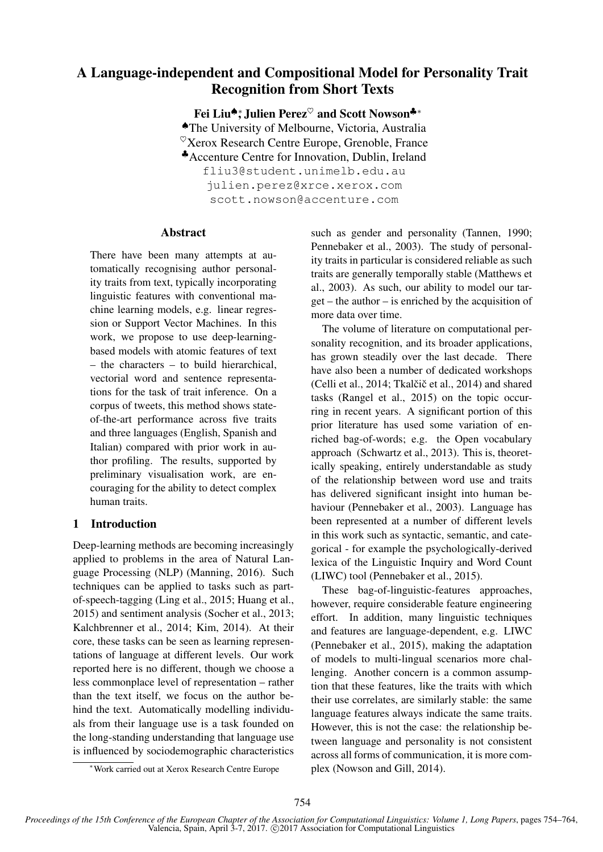# A Language-independent and Compositional Model for Personality Trait Recognition from Short Texts

Fei Liu<sup>◆</sup>\*, Julien Perez<sup>♡</sup> and Scott Nowson<sup>♣</sup>\* ♠The University of Melbourne, Victoria, Australia  $\mathcal{O}_{X}$ erox Research Centre Europe, Grenoble, France ♣Accenture Centre for Innovation, Dublin, Ireland fliu3@student.unimelb.edu.au julien.perez@xrce.xerox.com scott.nowson@accenture.com

### Abstract

There have been many attempts at automatically recognising author personality traits from text, typically incorporating linguistic features with conventional machine learning models, e.g. linear regression or Support Vector Machines. In this work, we propose to use deep-learningbased models with atomic features of text – the characters – to build hierarchical, vectorial word and sentence representations for the task of trait inference. On a corpus of tweets, this method shows stateof-the-art performance across five traits and three languages (English, Spanish and Italian) compared with prior work in author profiling. The results, supported by preliminary visualisation work, are encouraging for the ability to detect complex human traits.

# 1 Introduction

Deep-learning methods are becoming increasingly applied to problems in the area of Natural Language Processing (NLP) (Manning, 2016). Such techniques can be applied to tasks such as partof-speech-tagging (Ling et al., 2015; Huang et al., 2015) and sentiment analysis (Socher et al., 2013; Kalchbrenner et al., 2014; Kim, 2014). At their core, these tasks can be seen as learning representations of language at different levels. Our work reported here is no different, though we choose a less commonplace level of representation – rather than the text itself, we focus on the author behind the text. Automatically modelling individuals from their language use is a task founded on the long-standing understanding that language use is influenced by sociodemographic characteristics such as gender and personality (Tannen, 1990; Pennebaker et al., 2003). The study of personality traits in particular is considered reliable as such traits are generally temporally stable (Matthews et al., 2003). As such, our ability to model our target – the author – is enriched by the acquisition of more data over time.

The volume of literature on computational personality recognition, and its broader applications, has grown steadily over the last decade. There have also been a number of dedicated workshops (Celli et al.,  $2014$ ; Tkalčič et al.,  $2014$ ) and shared tasks (Rangel et al., 2015) on the topic occurring in recent years. A significant portion of this prior literature has used some variation of enriched bag-of-words; e.g. the Open vocabulary approach (Schwartz et al., 2013). This is, theoretically speaking, entirely understandable as study of the relationship between word use and traits has delivered significant insight into human behaviour (Pennebaker et al., 2003). Language has been represented at a number of different levels in this work such as syntactic, semantic, and categorical - for example the psychologically-derived lexica of the Linguistic Inquiry and Word Count (LIWC) tool (Pennebaker et al., 2015).

These bag-of-linguistic-features approaches, however, require considerable feature engineering effort. In addition, many linguistic techniques and features are language-dependent, e.g. LIWC (Pennebaker et al., 2015), making the adaptation of models to multi-lingual scenarios more challenging. Another concern is a common assumption that these features, like the traits with which their use correlates, are similarly stable: the same language features always indicate the same traits. However, this is not the case: the relationship between language and personality is not consistent across all forms of communication, it is more complex (Nowson and Gill, 2014).

<sup>∗</sup>Work carried out at Xerox Research Centre Europe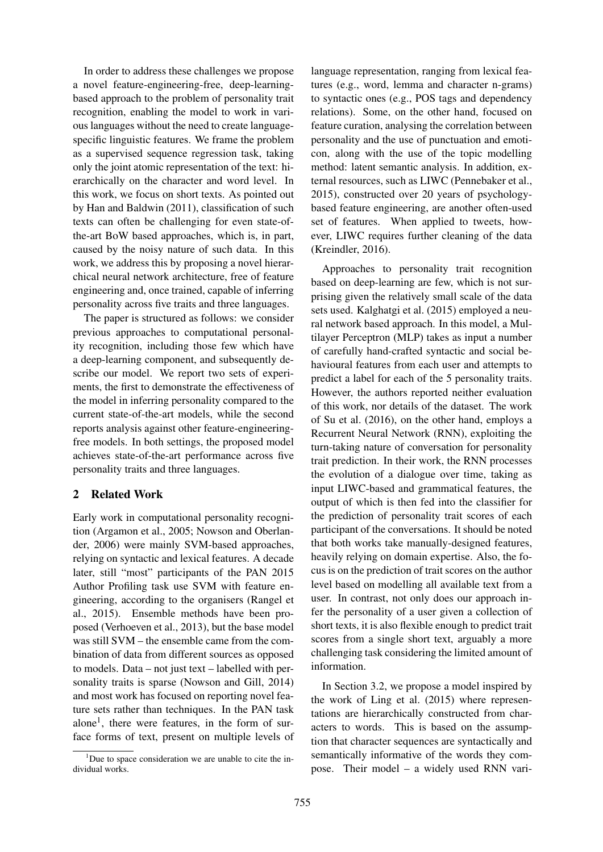In order to address these challenges we propose a novel feature-engineering-free, deep-learningbased approach to the problem of personality trait recognition, enabling the model to work in various languages without the need to create languagespecific linguistic features. We frame the problem as a supervised sequence regression task, taking only the joint atomic representation of the text: hierarchically on the character and word level. In this work, we focus on short texts. As pointed out by Han and Baldwin (2011), classification of such texts can often be challenging for even state-ofthe-art BoW based approaches, which is, in part, caused by the noisy nature of such data. In this work, we address this by proposing a novel hierarchical neural network architecture, free of feature engineering and, once trained, capable of inferring personality across five traits and three languages.

The paper is structured as follows: we consider previous approaches to computational personality recognition, including those few which have a deep-learning component, and subsequently describe our model. We report two sets of experiments, the first to demonstrate the effectiveness of the model in inferring personality compared to the current state-of-the-art models, while the second reports analysis against other feature-engineeringfree models. In both settings, the proposed model achieves state-of-the-art performance across five personality traits and three languages.

## 2 Related Work

Early work in computational personality recognition (Argamon et al., 2005; Nowson and Oberlander, 2006) were mainly SVM-based approaches, relying on syntactic and lexical features. A decade later, still "most" participants of the PAN 2015 Author Profiling task use SVM with feature engineering, according to the organisers (Rangel et al., 2015). Ensemble methods have been proposed (Verhoeven et al., 2013), but the base model was still SVM – the ensemble came from the combination of data from different sources as opposed to models. Data – not just text – labelled with personality traits is sparse (Nowson and Gill, 2014) and most work has focused on reporting novel feature sets rather than techniques. In the PAN task alone<sup>1</sup>, there were features, in the form of surface forms of text, present on multiple levels of

language representation, ranging from lexical features (e.g., word, lemma and character n-grams) to syntactic ones (e.g., POS tags and dependency relations). Some, on the other hand, focused on feature curation, analysing the correlation between personality and the use of punctuation and emoticon, along with the use of the topic modelling method: latent semantic analysis. In addition, external resources, such as LIWC (Pennebaker et al., 2015), constructed over 20 years of psychologybased feature engineering, are another often-used set of features. When applied to tweets, however, LIWC requires further cleaning of the data (Kreindler, 2016).

Approaches to personality trait recognition based on deep-learning are few, which is not surprising given the relatively small scale of the data sets used. Kalghatgi et al. (2015) employed a neural network based approach. In this model, a Multilayer Perceptron (MLP) takes as input a number of carefully hand-crafted syntactic and social behavioural features from each user and attempts to predict a label for each of the 5 personality traits. However, the authors reported neither evaluation of this work, nor details of the dataset. The work of Su et al. (2016), on the other hand, employs a Recurrent Neural Network (RNN), exploiting the turn-taking nature of conversation for personality trait prediction. In their work, the RNN processes the evolution of a dialogue over time, taking as input LIWC-based and grammatical features, the output of which is then fed into the classifier for the prediction of personality trait scores of each participant of the conversations. It should be noted that both works take manually-designed features, heavily relying on domain expertise. Also, the focus is on the prediction of trait scores on the author level based on modelling all available text from a user. In contrast, not only does our approach infer the personality of a user given a collection of short texts, it is also flexible enough to predict trait scores from a single short text, arguably a more challenging task considering the limited amount of information.

In Section 3.2, we propose a model inspired by the work of Ling et al. (2015) where representations are hierarchically constructed from characters to words. This is based on the assumption that character sequences are syntactically and semantically informative of the words they compose. Their model – a widely used RNN vari-

 $1$ Due to space consideration we are unable to cite the individual works.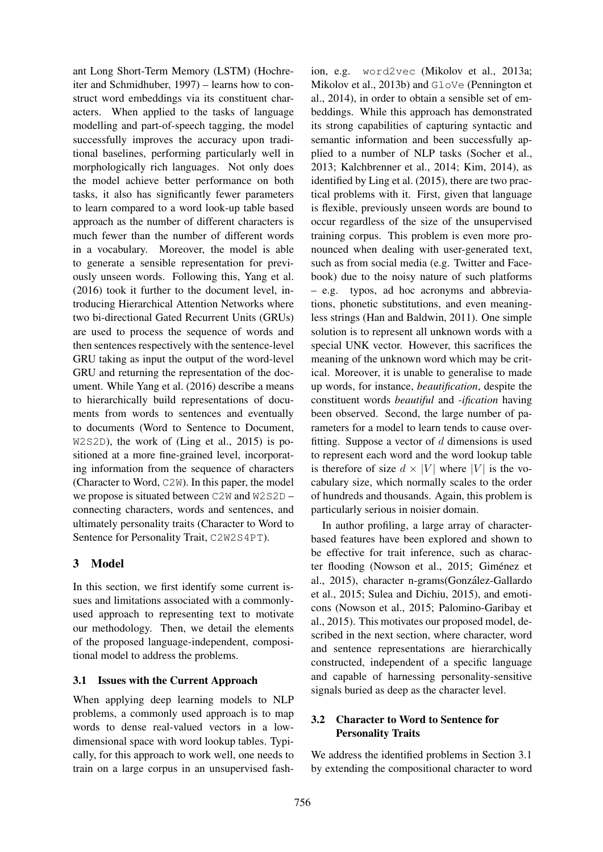ant Long Short-Term Memory (LSTM) (Hochreiter and Schmidhuber, 1997) – learns how to construct word embeddings via its constituent characters. When applied to the tasks of language modelling and part-of-speech tagging, the model successfully improves the accuracy upon traditional baselines, performing particularly well in morphologically rich languages. Not only does the model achieve better performance on both tasks, it also has significantly fewer parameters to learn compared to a word look-up table based approach as the number of different characters is much fewer than the number of different words in a vocabulary. Moreover, the model is able to generate a sensible representation for previously unseen words. Following this, Yang et al. (2016) took it further to the document level, introducing Hierarchical Attention Networks where two bi-directional Gated Recurrent Units (GRUs) are used to process the sequence of words and then sentences respectively with the sentence-level GRU taking as input the output of the word-level GRU and returning the representation of the document. While Yang et al. (2016) describe a means to hierarchically build representations of documents from words to sentences and eventually to documents (Word to Sentence to Document, W2S2D), the work of (Ling et al., 2015) is positioned at a more fine-grained level, incorporating information from the sequence of characters (Character to Word, C2W). In this paper, the model we propose is situated between C2W and W2S2D – connecting characters, words and sentences, and ultimately personality traits (Character to Word to Sentence for Personality Trait, C2W2S4PT).

# 3 Model

In this section, we first identify some current issues and limitations associated with a commonlyused approach to representing text to motivate our methodology. Then, we detail the elements of the proposed language-independent, compositional model to address the problems.

# 3.1 Issues with the Current Approach

When applying deep learning models to NLP problems, a commonly used approach is to map words to dense real-valued vectors in a lowdimensional space with word lookup tables. Typically, for this approach to work well, one needs to train on a large corpus in an unsupervised fash-

ion, e.g. word2vec (Mikolov et al., 2013a; Mikolov et al., 2013b) and GloVe (Pennington et al., 2014), in order to obtain a sensible set of embeddings. While this approach has demonstrated its strong capabilities of capturing syntactic and semantic information and been successfully applied to a number of NLP tasks (Socher et al., 2013; Kalchbrenner et al., 2014; Kim, 2014), as identified by Ling et al. (2015), there are two practical problems with it. First, given that language is flexible, previously unseen words are bound to occur regardless of the size of the unsupervised training corpus. This problem is even more pronounced when dealing with user-generated text, such as from social media (e.g. Twitter and Facebook) due to the noisy nature of such platforms – e.g. typos, ad hoc acronyms and abbreviations, phonetic substitutions, and even meaningless strings (Han and Baldwin, 2011). One simple solution is to represent all unknown words with a special UNK vector. However, this sacrifices the meaning of the unknown word which may be critical. Moreover, it is unable to generalise to made up words, for instance, *beautification*, despite the constituent words *beautiful* and *-ification* having been observed. Second, the large number of parameters for a model to learn tends to cause overfitting. Suppose a vector of  $d$  dimensions is used to represent each word and the word lookup table is therefore of size  $d \times |V|$  where |V| is the vocabulary size, which normally scales to the order of hundreds and thousands. Again, this problem is particularly serious in noisier domain.

In author profiling, a large array of characterbased features have been explored and shown to be effective for trait inference, such as character flooding (Nowson et al., 2015; Giménez et al., 2015), character n-grams(Gonzalez-Gallardo ´ et al., 2015; Sulea and Dichiu, 2015), and emoticons (Nowson et al., 2015; Palomino-Garibay et al., 2015). This motivates our proposed model, described in the next section, where character, word and sentence representations are hierarchically constructed, independent of a specific language and capable of harnessing personality-sensitive signals buried as deep as the character level.

# 3.2 Character to Word to Sentence for Personality Traits

We address the identified problems in Section 3.1 by extending the compositional character to word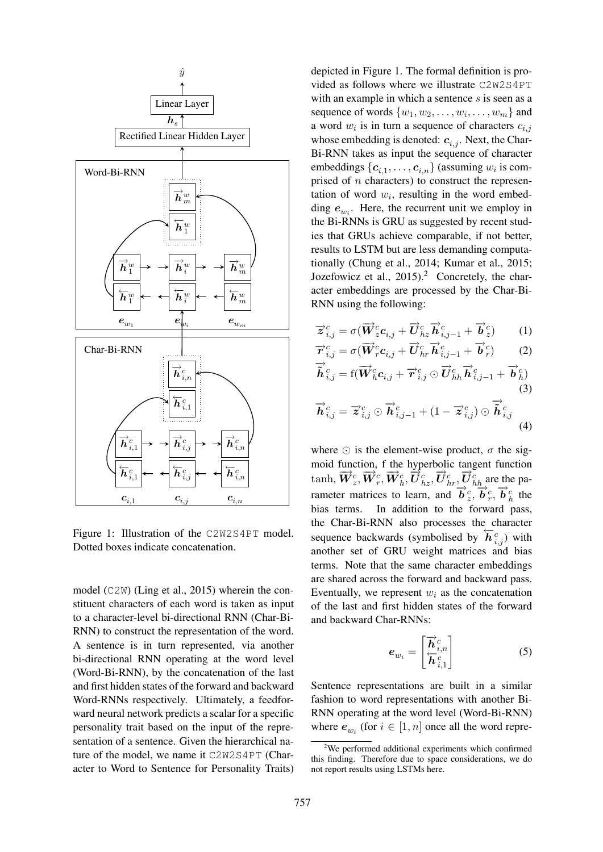

Figure 1: Illustration of the C2W2S4PT model. Dotted boxes indicate concatenation.

model (C2W) (Ling et al., 2015) wherein the constituent characters of each word is taken as input to a character-level bi-directional RNN (Char-Bi-RNN) to construct the representation of the word. A sentence is in turn represented, via another bi-directional RNN operating at the word level (Word-Bi-RNN), by the concatenation of the last and first hidden states of the forward and backward Word-RNNs respectively. Ultimately, a feedforward neural network predicts a scalar for a specific personality trait based on the input of the representation of a sentence. Given the hierarchical nature of the model, we name it C2W2S4PT (Character to Word to Sentence for Personality Traits)

depicted in Figure 1. The formal definition is provided as follows where we illustrate C2W2S4PT with an example in which a sentence  $s$  is seen as a sequence of words  $\{w_1, w_2, \ldots, w_i, \ldots, w_m\}$  and a word  $w_i$  is in turn a sequence of characters  $c_{i,j}$ whose embedding is denoted:  $c_{i,j}$ . Next, the Char-Bi-RNN takes as input the sequence of character embeddings  $\{c_{i,1}, \ldots, c_{i,n}\}$  (assuming  $w_i$  is comprised of  $n$  characters) to construct the representation of word  $w_i$ , resulting in the word embedding  $e_{w_i}$ . Here, the recurrent unit we employ in the Bi-RNNs is GRU as suggested by recent studies that GRUs achieve comparable, if not better, results to LSTM but are less demanding computationally (Chung et al., 2014; Kumar et al., 2015; Jozefowicz et al.,  $2015$ .<sup>2</sup> Concretely, the character embeddings are processed by the Char-Bi-RNN using the following:

$$
\overrightarrow{z}_{i,j}^{c} = \sigma(\overrightarrow{W}_{z}^{c}c_{i,j} + \overrightarrow{U}_{hz}^{c} \overrightarrow{h}_{i,j-1}^{c} + \overrightarrow{b}_{z}^{c})
$$
 (1)

$$
\overrightarrow{r}_{i,j}^{c} = \sigma(\overrightarrow{W}_{r}^{c}c_{i,j} + \overrightarrow{U}_{hr}^{c}\overrightarrow{h}_{i,j-1}^{c} + \overrightarrow{b}_{r}^{c})
$$
\n
$$
\overrightarrow{\hat{h}}_{i,j}^{c} = f(\overrightarrow{W}_{h}^{c}c_{i,j} + \overrightarrow{r}_{i,j}^{c} \odot \overrightarrow{U}_{hh}^{c}\overrightarrow{h}_{i,j-1}^{c} + \overrightarrow{b}_{h}^{c})
$$
\n
$$
\overrightarrow{h}_{i,j}^{c} = \overrightarrow{z}_{i,j}^{c} \odot \overrightarrow{h}_{i,j-1}^{c} + (1 - \overrightarrow{z}_{i,j}^{c}) \odot \overrightarrow{\hat{h}}_{i,j}^{c}
$$
\n(4)

where  $\odot$  is the element-wise product,  $\sigma$  the sigmoid function, f the hyperbolic tangent function tanh,  $\vec{W}_z^c, \vec{W}_r^c, \vec{W}_h^c, \vec{U}_{hz}^c, \vec{U}_{hr}^c, \vec{U}_{hh}^c$  are the parameter matrices to learn, and  $\overrightarrow{b}_{g}^{c}, \overrightarrow{b}_{g}^{c}, \overrightarrow{b}_{h}^{c}$  the bias terms. In addition to the forward pass, the Char-Bi-RNN also processes the character sequence backwards (symbolised by  $\overline{h}_{i,j}^c$ ) with another set of GRU weight matrices and bias terms. Note that the same character embeddings are shared across the forward and backward pass. Eventually, we represent  $w_i$  as the concatenation of the last and first hidden states of the forward and backward Char-RNNs:

$$
e_{w_i} = \begin{bmatrix} \overrightarrow{h}_{i,n}^c \\ \overleftarrow{h}_{i,1}^c \end{bmatrix}
$$
 (5)

Sentence representations are built in a similar fashion to word representations with another Bi-RNN operating at the word level (Word-Bi-RNN) where  $e_{w_i}$  (for  $i \in [1, n]$  once all the word repre-

 $2$ We performed additional experiments which confirmed this finding. Therefore due to space considerations, we do not report results using LSTMs here.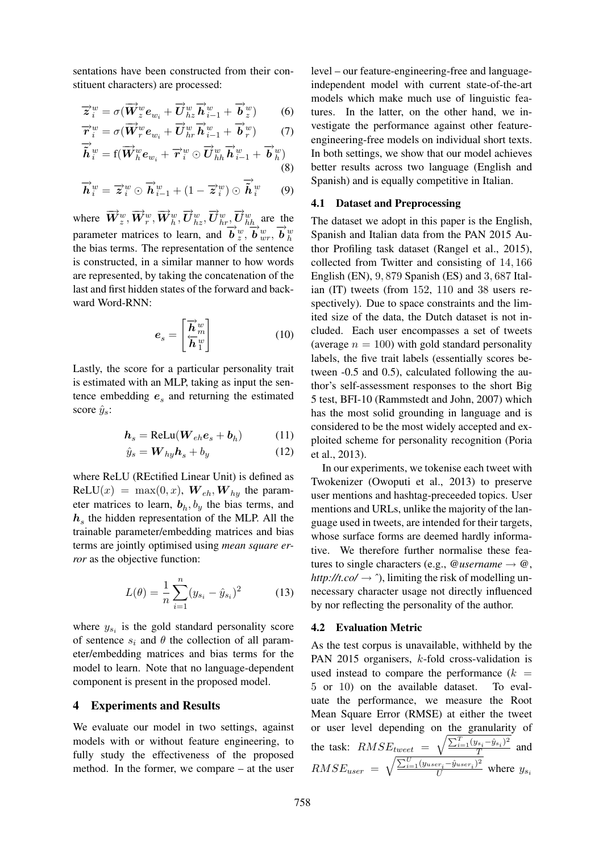sentations have been constructed from their constituent characters) are processed:

$$
\overrightarrow{z}_{i}^{w} = \sigma(\overrightarrow{W}_{z}^{w}e_{w_{i}} + \overrightarrow{U}_{hz}^{w}\overrightarrow{h}_{i-1}^{w} + \overrightarrow{b}_{z}^{w})
$$
 (6)

$$
\overrightarrow{r}_{i}^{w} = \sigma(\overrightarrow{W}_{r}^{w}e_{w_{i}} + \overrightarrow{U}_{hr}^{w}\overrightarrow{h}_{i-1}^{w} + \overrightarrow{b}_{r}^{w})
$$
(7)

$$
\overrightarrow{\tilde{\boldsymbol{h}}}_{i}^{w} = \text{f}(\overrightarrow{\boldsymbol{W}}_{h}^{w}\boldsymbol{e}_{w_{i}} + \overrightarrow{\boldsymbol{r}}_{i}^{w} \odot \overrightarrow{\boldsymbol{U}}_{hh}^{w}\overrightarrow{\boldsymbol{h}}_{i-1}^{w} + \overrightarrow{\boldsymbol{b}}_{h}^{w})
$$
\n(8)

$$
\overrightarrow{\boldsymbol{h}}_{i}^{w} = \overrightarrow{\boldsymbol{z}}_{i}^{w} \odot \overrightarrow{\boldsymbol{h}}_{i-1}^{w} + (1 - \overrightarrow{\boldsymbol{z}}_{i}^{w}) \odot \overrightarrow{\boldsymbol{h}}_{i}^{w} \qquad (9)
$$

where  $\overrightarrow{W}_z^w, \overrightarrow{W}_r^w, \overrightarrow{W}_h^w, \overrightarrow{U}_{hz}^w, \overrightarrow{U}_{hr}^w, \overrightarrow{U}_{hh}^w$  are the parameter matrices to learn, and  $\overrightarrow{b}$   $\overrightarrow{w}$ ,  $\overrightarrow{b}$   $\overrightarrow{w}$ ,  $\overrightarrow{b}$   $\overrightarrow{w}$ ,  $\overrightarrow{b}$   $\overrightarrow{w}$ the bias terms. The representation of the sentence is constructed, in a similar manner to how words are represented, by taking the concatenation of the last and first hidden states of the forward and backward Word-RNN:

$$
\boldsymbol{e}_s = \begin{bmatrix} \overrightarrow{\boldsymbol{h}}_m^w\\ \overleftarrow{\boldsymbol{h}}_1^w \end{bmatrix} \tag{10}
$$

Lastly, the score for a particular personality trait is estimated with an MLP, taking as input the sentence embedding  $e_s$  and returning the estimated score  $\hat{y}_s$ :

$$
h_s = \text{ReLu}(W_{eh}e_s + b_h) \tag{11}
$$

$$
\hat{y}_s = \mathbf{W}_{hy}\mathbf{h}_s + b_y \tag{12}
$$

where ReLU (REctified Linear Unit) is defined as  $ReLU(x) = max(0, x)$ ,  $W_{eh}$ ,  $W_{hy}$  the parameter matrices to learn,  $\mathbf{b}_h$ ,  $b_y$  the bias terms, and  $h<sub>s</sub>$  the hidden representation of the MLP. All the trainable parameter/embedding matrices and bias terms are jointly optimised using *mean square error* as the objective function:

$$
L(\theta) = \frac{1}{n} \sum_{i=1}^{n} (y_{s_i} - \hat{y}_{s_i})^2
$$
 (13)

where  $y_{s_i}$  is the gold standard personality score of sentence  $s_i$  and  $\theta$  the collection of all parameter/embedding matrices and bias terms for the model to learn. Note that no language-dependent component is present in the proposed model.

#### 4 Experiments and Results

We evaluate our model in two settings, against models with or without feature engineering, to fully study the effectiveness of the proposed method. In the former, we compare – at the user

level – our feature-engineering-free and languageindependent model with current state-of-the-art models which make much use of linguistic features. In the latter, on the other hand, we investigate the performance against other featureengineering-free models on individual short texts. In both settings, we show that our model achieves better results across two language (English and Spanish) and is equally competitive in Italian.

#### 4.1 Dataset and Preprocessing

The dataset we adopt in this paper is the English, Spanish and Italian data from the PAN 2015 Author Profiling task dataset (Rangel et al., 2015), collected from Twitter and consisting of 14, 166 English (EN), 9, 879 Spanish (ES) and 3, 687 Italian (IT) tweets (from 152, 110 and 38 users respectively). Due to space constraints and the limited size of the data, the Dutch dataset is not included. Each user encompasses a set of tweets (average  $n = 100$ ) with gold standard personality labels, the five trait labels (essentially scores between -0.5 and 0.5), calculated following the author's self-assessment responses to the short Big 5 test, BFI-10 (Rammstedt and John, 2007) which has the most solid grounding in language and is considered to be the most widely accepted and exploited scheme for personality recognition (Poria et al., 2013).

In our experiments, we tokenise each tweet with Twokenizer (Owoputi et al., 2013) to preserve user mentions and hashtag-preceeded topics. User mentions and URLs, unlike the majority of the language used in tweets, are intended for their targets, whose surface forms are deemed hardly informative. We therefore further normalise these features to single characters (e.g.,  $@$ *username*  $\rightarrow \omega$ , *http://t.co/*  $\rightarrow$   $\hat{}$ ), limiting the risk of modelling unnecessary character usage not directly influenced by nor reflecting the personality of the author.

#### 4.2 Evaluation Metric

As the test corpus is unavailable, withheld by the PAN 2015 organisers, k-fold cross-validation is used instead to compare the performance  $(k =$ 5 or 10) on the available dataset. To evaluate the performance, we measure the Root Mean Square Error (RMSE) at either the tweet or user level depending on the granularity of the task:  $RMSE_{tweet}$  =  $\sqrt{\sum_{i=1}^{T} (y_{s_i} - \hat{y}_{s_i})^2}$  $\frac{a_i - g_{s_i}}{T}$  and  $RMSE_{user}$  =  $\sqrt{\frac{\sum_{i=1}^{U}(y_{user_i}-\hat{y}_{user_i})^2}{U}}$  where  $y_{s_i}$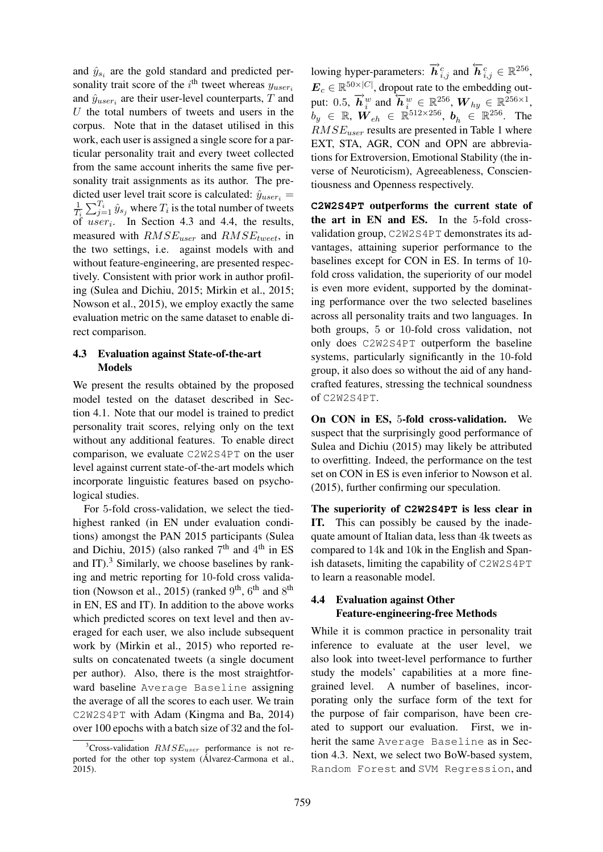and  $\hat{y}_{s_i}$  are the gold standard and predicted personality trait score of the  $i^{\text{th}}$  tweet whereas  $y_{user_i}$ and  $\hat{y}_{user_i}$  are their user-level counterparts, T and  $U$  the total numbers of tweets and users in the corpus. Note that in the dataset utilised in this work, each user is assigned a single score for a particular personality trait and every tweet collected from the same account inherits the same five personality trait assignments as its author. The predicted user level trait score is calculated:  $\hat{y}_{user_i} =$ 1  $\frac{1}{T_i}\sum_{j=1}^{T_i}\hat{y}_{s_j}$  where  $T_i$  is the total number of tweets of  $user_i$ . In Section 4.3 and 4.4, the results, measured with  $RMSE_{user}$  and  $RMSE_{tweet}$ , in the two settings, i.e. against models with and without feature-engineering, are presented respectively. Consistent with prior work in author profiling (Sulea and Dichiu, 2015; Mirkin et al., 2015; Nowson et al., 2015), we employ exactly the same evaluation metric on the same dataset to enable direct comparison.

## 4.3 Evaluation against State-of-the-art Models

We present the results obtained by the proposed model tested on the dataset described in Section 4.1. Note that our model is trained to predict personality trait scores, relying only on the text without any additional features. To enable direct comparison, we evaluate C2W2S4PT on the user level against current state-of-the-art models which incorporate linguistic features based on psychological studies.

For 5-fold cross-validation, we select the tiedhighest ranked (in EN under evaluation conditions) amongst the PAN 2015 participants (Sulea and Dichiu, 2015) (also ranked  $7<sup>th</sup>$  and  $4<sup>th</sup>$  in ES and  $IT$ ).<sup>3</sup> Similarly, we choose baselines by ranking and metric reporting for 10-fold cross validation (Nowson et al., 2015) (ranked  $9<sup>th</sup>$ ,  $6<sup>th</sup>$  and  $8<sup>th</sup>$ in EN, ES and IT). In addition to the above works which predicted scores on text level and then averaged for each user, we also include subsequent work by (Mirkin et al., 2015) who reported results on concatenated tweets (a single document per author). Also, there is the most straightforward baseline Average Baseline assigning the average of all the scores to each user. We train C2W2S4PT with Adam (Kingma and Ba, 2014) over 100 epochs with a batch size of 32 and the fol-

lowing hyper-parameters:  $\overrightarrow{h}_{i,j}^c$  and  $\overleftarrow{h}_{i,j}^c \in \mathbb{R}^{256}$ ,  $\boldsymbol{E}_c \in \mathbb{R}^{50 \times |C|}$ , dropout rate to the embedding output: 0.5,  $\vec{h}^w_i$  and  $\vec{h}^w_i \in \mathbb{R}^{256}$ ,  $W_{hy} \in \mathbb{R}^{256 \times 1}$ ,  $b_y$   $\in$   $\mathbb{R}$ ,  $\boldsymbol{W}_{eh}$   $\in$   $\mathbb{R}^{512\times256}$ ,  $\boldsymbol{b}_h$   $\in$   $\mathbb{R}^{256}$ . The  $RMSE_{user}$  results are presented in Table 1 where EXT, STA, AGR, CON and OPN are abbreviations for Extroversion, Emotional Stability (the inverse of Neuroticism), Agreeableness, Conscientiousness and Openness respectively.

**C2W2S4PT** outperforms the current state of the art in EN and ES. In the 5-fold crossvalidation group, C2W2S4PT demonstrates its advantages, attaining superior performance to the baselines except for CON in ES. In terms of 10 fold cross validation, the superiority of our model is even more evident, supported by the dominating performance over the two selected baselines across all personality traits and two languages. In both groups, 5 or 10-fold cross validation, not only does C2W2S4PT outperform the baseline systems, particularly significantly in the 10-fold group, it also does so without the aid of any handcrafted features, stressing the technical soundness of C2W2S4PT.

On CON in ES, 5-fold cross-validation. We suspect that the surprisingly good performance of Sulea and Dichiu (2015) may likely be attributed to overfitting. Indeed, the performance on the test set on CON in ES is even inferior to Nowson et al. (2015), further confirming our speculation.

The superiority of **C2W2S4PT** is less clear in IT. This can possibly be caused by the inadequate amount of Italian data, less than 4k tweets as compared to 14k and 10k in the English and Spanish datasets, limiting the capability of C2W2S4PT to learn a reasonable model.

## 4.4 Evaluation against Other Feature-engineering-free Methods

While it is common practice in personality trait inference to evaluate at the user level, we also look into tweet-level performance to further study the models' capabilities at a more finegrained level. A number of baselines, incorporating only the surface form of the text for the purpose of fair comparison, have been created to support our evaluation. First, we inherit the same Average Baseline as in Section 4.3. Next, we select two BoW-based system, Random Forest and SVM Regression, and

<sup>&</sup>lt;sup>3</sup>Cross-validation  $RMSE_{user}$  performance is not reported for the other top system (Álvarez-Carmona et al., 2015).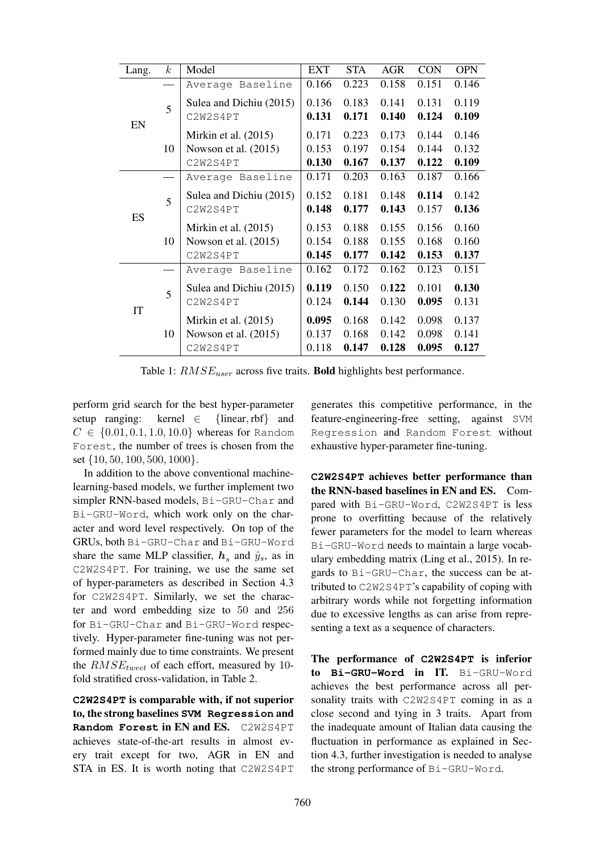| Lang. | $\boldsymbol{k}$ | Model                   | <b>EXT</b> | <b>STA</b> | <b>AGR</b> | <b>CON</b> | <b>OPN</b> |
|-------|------------------|-------------------------|------------|------------|------------|------------|------------|
| EN    |                  | Average Baseline        | 0.166      | 0.223      | 0.158      | 0.151      | 0.146      |
|       | 5                | Sulea and Dichiu (2015) | 0.136      | 0.183      | 0.141      | 0.131      | 0.119      |
|       |                  | C2W2S4PT                | 0.131      | 0.171      | 0.140      | 0.124      | 0.109      |
|       | 10               | Mirkin et al. $(2015)$  | 0.171      | 0.223      | 0.173      | 0.144      | 0.146      |
|       |                  | Nowson et al. $(2015)$  | 0.153      | 0.197      | 0.154      | 0.144      | 0.132      |
|       |                  | C2W2S4PT                | 0.130      | 0.167      | 0.137      | 0.122      | 0.109      |
| ES    |                  | Average Baseline        | 0.171      | 0.203      | 0.163      | 0.187      | 0.166      |
|       | 5                | Sulea and Dichiu (2015) | 0.152      | 0.181      | 0.148      | 0.114      | 0.142      |
|       |                  | C2W2S4PT                | 0.148      | 0.177      | 0.143      | 0.157      | 0.136      |
|       | 10               | Mirkin et al. $(2015)$  | 0.153      | 0.188      | 0.155      | 0.156      | 0.160      |
|       |                  | Nowson et al. (2015)    | 0.154      | 0.188      | 0.155      | 0.168      | 0.160      |
|       |                  | C2W2S4PT                | 0.145      | 0.177      | 0.142      | 0.153      | 0.137      |
| IT    |                  | Average Baseline        | 0.162      | 0.172      | 0.162      | 0.123      | 0.151      |
|       | 5                | Sulea and Dichiu (2015) | 0.119      | 0.150      | 0.122      | 0.101      | 0.130      |
|       |                  | C2W2S4PT                | 0.124      | 0.144      | 0.130      | 0.095      | 0.131      |
|       | 10               | Mirkin et al. $(2015)$  | 0.095      | 0.168      | 0.142      | 0.098      | 0.137      |
|       |                  | Nowson et al. (2015)    | 0.137      | 0.168      | 0.142      | 0.098      | 0.141      |
|       |                  | C2W2S4PT                | 0.118      | 0.147      | 0.128      | 0.095      | 0.127      |

Table 1:  $RMSE_{user}$  across five traits. **Bold** highlights best performance.

perform grid search for the best hyper-parameter setup ranging: kernel  $\in$  {linear, rbf} and  $C \in \{0.01, 0.1, 1.0, 10.0\}$  whereas for Random Forest, the number of trees is chosen from the set {10, 50, 100, 500, 1000}.

In addition to the above conventional machinelearning-based models, we further implement two simpler RNN-based models, Bi-GRU-Char and Bi-GRU-Word, which work only on the character and word level respectively. On top of the GRUs, both Bi-GRU-Char and Bi-GRU-Word share the same MLP classifier,  $h_s$  and  $\hat{y}_s$ , as in C2W2S4PT. For training, we use the same set of hyper-parameters as described in Section 4.3 for C2W2S4PT. Similarly, we set the character and word embedding size to 50 and 256 for Bi-GRU-Char and Bi-GRU-Word respectively. Hyper-parameter fine-tuning was not performed mainly due to time constraints. We present the  $RMSE_{tweet}$  of each effort, measured by 10fold stratified cross-validation, in Table 2.

**C2W2S4PT** is comparable with, if not superior to, the strong baselines **SVM Regression** and **Random Forest** in EN and ES. C2W2S4PT achieves state-of-the-art results in almost every trait except for two, AGR in EN and STA in ES. It is worth noting that C2W2S4PT

generates this competitive performance, in the feature-engineering-free setting, against SVM Regression and Random Forest without exhaustive hyper-parameter fine-tuning.

**C2W2S4PT** achieves better performance than the RNN-based baselines in EN and ES. Compared with Bi-GRU-Word, C2W2S4PT is less prone to overfitting because of the relatively fewer parameters for the model to learn whereas Bi-GRU-Word needs to maintain a large vocabulary embedding matrix (Ling et al., 2015). In regards to Bi-GRU-Char, the success can be attributed to C2W2S4PT's capability of coping with arbitrary words while not forgetting information due to excessive lengths as can arise from representing a text as a sequence of characters.

The performance of **C2W2S4PT** is inferior to **Bi-GRU-Word** in IT. Bi-GRU-Word achieves the best performance across all personality traits with C2W2S4PT coming in as a close second and tying in 3 traits. Apart from the inadequate amount of Italian data causing the fluctuation in performance as explained in Section 4.3, further investigation is needed to analyse the strong performance of Bi-GRU-Word.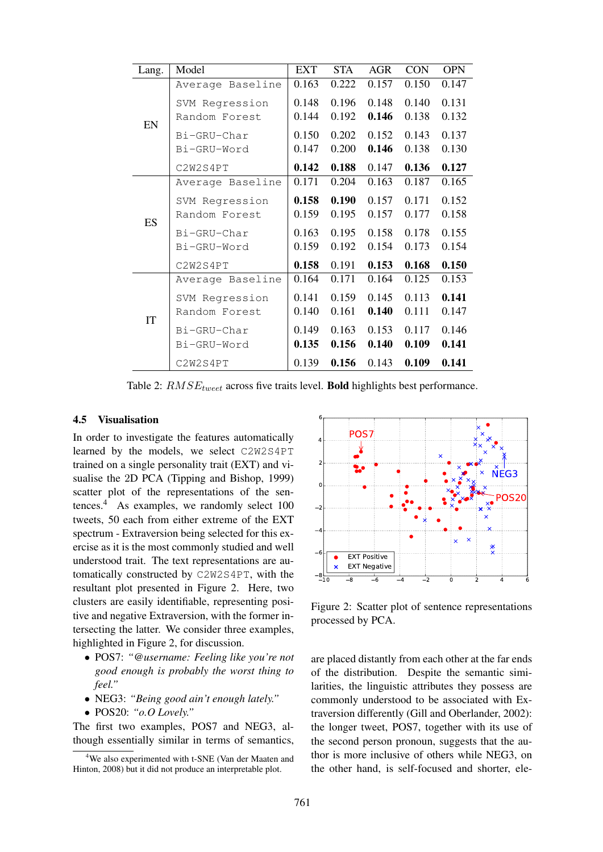| Lang. | Model            | <b>EXT</b> | <b>STA</b> | <b>AGR</b> | <b>CON</b> | <b>OPN</b> |
|-------|------------------|------------|------------|------------|------------|------------|
| EN    | Average Baseline | 0.163      | 0.222      | 0.157      | 0.150      | 0.147      |
|       | SVM Regression   | 0.148      | 0.196      | 0.148      | 0.140      | 0.131      |
|       | Random Forest    | 0.144      | 0.192      | 0.146      | 0.138      | 0.132      |
|       | Bi-GRU-Char      | 0.150      | 0.202      | 0.152      | 0.143      | 0.137      |
|       | Bi-GRU-Word      | 0.147      | 0.200      | 0.146      | 0.138      | 0.130      |
|       | C2W2S4PT         | 0.142      | 0.188      | 0.147      | 0.136      | 0.127      |
| ES    | Average Baseline | 0.171      | 0.204      | 0.163      | 0.187      | 0.165      |
|       | SVM Regression   | 0.158      | 0.190      | 0.157      | 0.171      | 0.152      |
|       | Random Forest    | 0.159      | 0.195      | 0.157      | 0.177      | 0.158      |
|       | Bi-GRU-Char      | 0.163      | 0.195      | 0.158      | 0.178      | 0.155      |
|       | Bi-GRU-Word      | 0.159      | 0.192      | 0.154      | 0.173      | 0.154      |
|       | C2W2S4PT         | 0.158      | 0.191      | 0.153      | 0.168      | 0.150      |
| IT    | Average Baseline | 0.164      | 0.171      | 0.164      | 0.125      | 0.153      |
|       | SVM Regression   | 0.141      | 0.159      | 0.145      | 0.113      | 0.141      |
|       | Random Forest    | 0.140      | 0.161      | 0.140      | 0.111      | 0.147      |
|       | Bi-GRU-Char      | 0.149      | 0.163      | 0.153      | 0.117      | 0.146      |
|       | Bi-GRU-Word      | 0.135      | 0.156      | 0.140      | 0.109      | 0.141      |
|       | C2W2S4PT         | 0.139      | 0.156      | 0.143      | 0.109      | 0.141      |

Table 2:  $RMSE_{tweet}$  across five traits level. **Bold** highlights best performance.

#### 4.5 Visualisation

In order to investigate the features automatically learned by the models, we select C2W2S4PT trained on a single personality trait (EXT) and visualise the 2D PCA (Tipping and Bishop, 1999) scatter plot of the representations of the sentences.<sup>4</sup> As examples, we randomly select 100 tweets, 50 each from either extreme of the EXT spectrum - Extraversion being selected for this exercise as it is the most commonly studied and well understood trait. The text representations are automatically constructed by C2W2S4PT, with the resultant plot presented in Figure 2. Here, two clusters are easily identifiable, representing positive and negative Extraversion, with the former intersecting the latter. We consider three examples, highlighted in Figure 2, for discussion.

- POS7: *"@username: Feeling like you're not good enough is probably the worst thing to feel."*
- NEG3: *"Being good ain't enough lately."*
- POS20: *"o.O Lovely."*

The first two examples, POS7 and NEG3, although essentially similar in terms of semantics,



Figure 2: Scatter plot of sentence representations processed by PCA.

are placed distantly from each other at the far ends of the distribution. Despite the semantic similarities, the linguistic attributes they possess are commonly understood to be associated with Extraversion differently (Gill and Oberlander, 2002): the longer tweet, POS7, together with its use of the second person pronoun, suggests that the author is more inclusive of others while NEG3, on the other hand, is self-focused and shorter, ele-

<sup>4</sup>We also experimented with t-SNE (Van der Maaten and Hinton, 2008) but it did not produce an interpretable plot.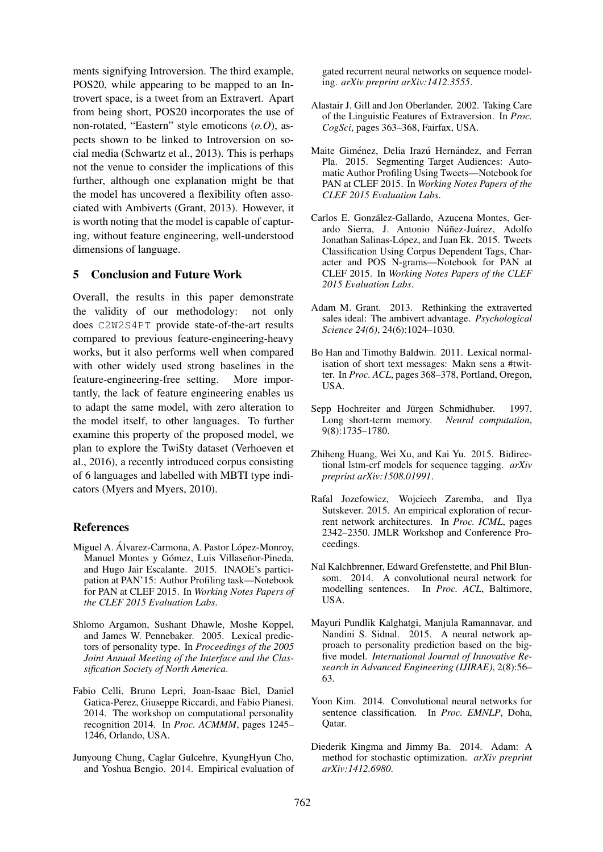ments signifying Introversion. The third example, POS20, while appearing to be mapped to an Introvert space, is a tweet from an Extravert. Apart from being short, POS20 incorporates the use of non-rotated, "Eastern" style emoticons (*o.O*), aspects shown to be linked to Introversion on social media (Schwartz et al., 2013). This is perhaps not the venue to consider the implications of this further, although one explanation might be that the model has uncovered a flexibility often associated with Ambiverts (Grant, 2013). However, it is worth noting that the model is capable of capturing, without feature engineering, well-understood dimensions of language.

## 5 Conclusion and Future Work

Overall, the results in this paper demonstrate the validity of our methodology: not only does C2W2S4PT provide state-of-the-art results compared to previous feature-engineering-heavy works, but it also performs well when compared with other widely used strong baselines in the feature-engineering-free setting. More importantly, the lack of feature engineering enables us to adapt the same model, with zero alteration to the model itself, to other languages. To further examine this property of the proposed model, we plan to explore the TwiSty dataset (Verhoeven et al., 2016), a recently introduced corpus consisting of 6 languages and labelled with MBTI type indicators (Myers and Myers, 2010).

#### References

- Miguel A. Álvarez-Carmona, A. Pastor López-Monroy, Manuel Montes y Gómez, Luis Villaseñor-Pineda, and Hugo Jair Escalante. 2015. INAOE's participation at PAN'15: Author Profiling task—Notebook for PAN at CLEF 2015. In *Working Notes Papers of the CLEF 2015 Evaluation Labs*.
- Shlomo Argamon, Sushant Dhawle, Moshe Koppel, and James W. Pennebaker. 2005. Lexical predictors of personality type. In *Proceedings of the 2005 Joint Annual Meeting of the Interface and the Classification Society of North America*.
- Fabio Celli, Bruno Lepri, Joan-Isaac Biel, Daniel Gatica-Perez, Giuseppe Riccardi, and Fabio Pianesi. 2014. The workshop on computational personality recognition 2014. In *Proc. ACMMM*, pages 1245– 1246, Orlando, USA.
- Junyoung Chung, Caglar Gulcehre, KyungHyun Cho, and Yoshua Bengio. 2014. Empirical evaluation of

gated recurrent neural networks on sequence modeling. *arXiv preprint arXiv:1412.3555*.

- Alastair J. Gill and Jon Oberlander. 2002. Taking Care of the Linguistic Features of Extraversion. In *Proc. CogSci*, pages 363–368, Fairfax, USA.
- Maite Giménez, Delia Irazú Hernández, and Ferran Pla. 2015. Segmenting Target Audiences: Automatic Author Profiling Using Tweets—Notebook for PAN at CLEF 2015. In *Working Notes Papers of the CLEF 2015 Evaluation Labs*.
- Carlos E. Gonzalez-Gallardo, Azucena Montes, Ger- ´ ardo Sierra, J. Antonio Núñez-Juárez, Adolfo Jonathan Salinas-López, and Juan Ek. 2015. Tweets Classification Using Corpus Dependent Tags, Character and POS N-grams—Notebook for PAN at CLEF 2015. In *Working Notes Papers of the CLEF 2015 Evaluation Labs*.
- Adam M. Grant. 2013. Rethinking the extraverted sales ideal: The ambivert advantage. *Psychological Science 24(6)*, 24(6):1024–1030.
- Bo Han and Timothy Baldwin. 2011. Lexical normalisation of short text messages: Makn sens a #twitter. In *Proc. ACL*, pages 368–378, Portland, Oregon, USA.
- Sepp Hochreiter and Jürgen Schmidhuber. 1997. Long short-term memory. *Neural computation*, 9(8):1735–1780.
- Zhiheng Huang, Wei Xu, and Kai Yu. 2015. Bidirectional lstm-crf models for sequence tagging. *arXiv preprint arXiv:1508.01991*.
- Rafal Jozefowicz, Wojciech Zaremba, and Ilya Sutskever. 2015. An empirical exploration of recurrent network architectures. In *Proc. ICML*, pages 2342–2350. JMLR Workshop and Conference Proceedings.
- Nal Kalchbrenner, Edward Grefenstette, and Phil Blunsom. 2014. A convolutional neural network for modelling sentences. In *Proc. ACL*, Baltimore, USA.
- Mayuri Pundlik Kalghatgi, Manjula Ramannavar, and Nandini S. Sidnal. 2015. A neural network approach to personality prediction based on the bigfive model. *International Journal of Innovative Research in Advanced Engineering (IJIRAE)*, 2(8):56– 63.
- Yoon Kim. 2014. Convolutional neural networks for sentence classification. In *Proc. EMNLP*, Doha, Qatar.
- Diederik Kingma and Jimmy Ba. 2014. Adam: A method for stochastic optimization. *arXiv preprint arXiv:1412.6980*.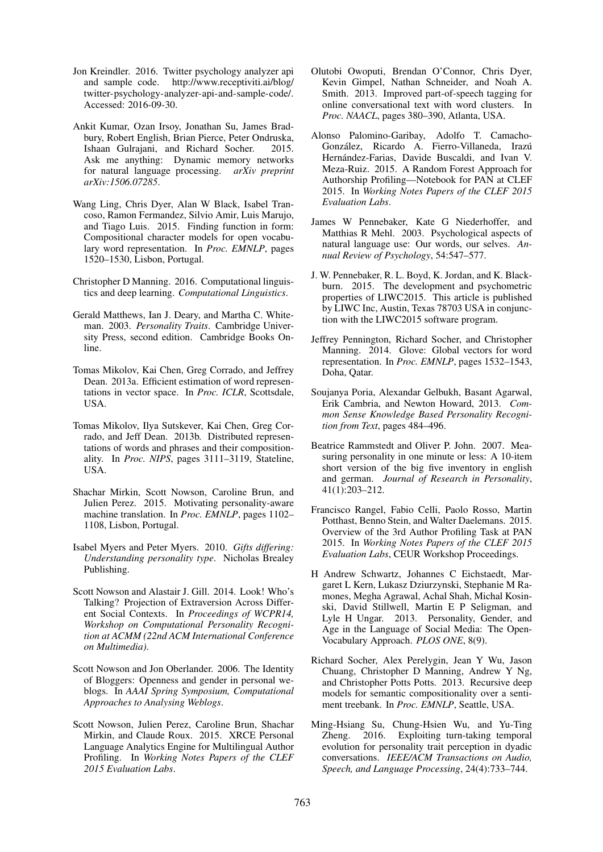- Jon Kreindler. 2016. Twitter psychology analyzer api and sample code. http://www.receptiviti.ai/blog/ twitter-psychology-analyzer-api-and-sample-code/. Accessed: 2016-09-30.
- Ankit Kumar, Ozan Irsoy, Jonathan Su, James Bradbury, Robert English, Brian Pierce, Peter Ondruska, Ishaan Gulrajani, and Richard Socher. 2015. Ask me anything: Dynamic memory networks for natural language processing. *arXiv preprint arXiv:1506.07285*.
- Wang Ling, Chris Dyer, Alan W Black, Isabel Trancoso, Ramon Fermandez, Silvio Amir, Luis Marujo, and Tiago Luis. 2015. Finding function in form: Compositional character models for open vocabulary word representation. In *Proc. EMNLP*, pages 1520–1530, Lisbon, Portugal.
- Christopher D Manning. 2016. Computational linguistics and deep learning. *Computational Linguistics*.
- Gerald Matthews, Ian J. Deary, and Martha C. Whiteman. 2003. *Personality Traits*. Cambridge University Press, second edition. Cambridge Books Online.
- Tomas Mikolov, Kai Chen, Greg Corrado, and Jeffrey Dean. 2013a. Efficient estimation of word representations in vector space. In *Proc. ICLR*, Scottsdale, USA.
- Tomas Mikolov, Ilya Sutskever, Kai Chen, Greg Corrado, and Jeff Dean. 2013b. Distributed representations of words and phrases and their compositionality. In *Proc. NIPS*, pages 3111–3119, Stateline, USA.
- Shachar Mirkin, Scott Nowson, Caroline Brun, and Julien Perez. 2015. Motivating personality-aware machine translation. In *Proc. EMNLP*, pages 1102– 1108, Lisbon, Portugal.
- Isabel Myers and Peter Myers. 2010. *Gifts differing: Understanding personality type*. Nicholas Brealey Publishing.
- Scott Nowson and Alastair J. Gill. 2014. Look! Who's Talking? Projection of Extraversion Across Different Social Contexts. In *Proceedings of WCPR14, Workshop on Computational Personality Recognition at ACMM (22nd ACM International Conference on Multimedia)*.
- Scott Nowson and Jon Oberlander. 2006. The Identity of Bloggers: Openness and gender in personal weblogs. In *AAAI Spring Symposium, Computational Approaches to Analysing Weblogs*.
- Scott Nowson, Julien Perez, Caroline Brun, Shachar Mirkin, and Claude Roux. 2015. XRCE Personal Language Analytics Engine for Multilingual Author Profiling. In *Working Notes Papers of the CLEF 2015 Evaluation Labs*.
- Olutobi Owoputi, Brendan O'Connor, Chris Dyer, Kevin Gimpel, Nathan Schneider, and Noah A. Smith. 2013. Improved part-of-speech tagging for online conversational text with word clusters. In *Proc. NAACL*, pages 380–390, Atlanta, USA.
- Alonso Palomino-Garibay, Adolfo T. Camacho-González, Ricardo A. Fierro-Villaneda, Irazú Hernández-Farias, Davide Buscaldi, and Ivan V. Meza-Ruiz. 2015. A Random Forest Approach for Authorship Profiling—Notebook for PAN at CLEF 2015. In *Working Notes Papers of the CLEF 2015 Evaluation Labs*.
- James W Pennebaker, Kate G Niederhoffer, and Matthias R Mehl. 2003. Psychological aspects of natural language use: Our words, our selves. *Annual Review of Psychology*, 54:547–577.
- J. W. Pennebaker, R. L. Boyd, K. Jordan, and K. Blackburn. 2015. The development and psychometric properties of LIWC2015. This article is published by LIWC Inc, Austin, Texas 78703 USA in conjunction with the LIWC2015 software program.
- Jeffrey Pennington, Richard Socher, and Christopher Manning. 2014. Glove: Global vectors for word representation. In *Proc. EMNLP*, pages 1532–1543, Doha, Qatar.
- Soujanya Poria, Alexandar Gelbukh, Basant Agarwal, Erik Cambria, and Newton Howard, 2013. *Common Sense Knowledge Based Personality Recognition from Text*, pages 484–496.
- Beatrice Rammstedt and Oliver P. John. 2007. Measuring personality in one minute or less: A 10-item short version of the big five inventory in english and german. *Journal of Research in Personality*, 41(1):203–212.
- Francisco Rangel, Fabio Celli, Paolo Rosso, Martin Potthast, Benno Stein, and Walter Daelemans. 2015. Overview of the 3rd Author Profiling Task at PAN 2015. In *Working Notes Papers of the CLEF 2015 Evaluation Labs*, CEUR Workshop Proceedings.
- H Andrew Schwartz, Johannes C Eichstaedt, Margaret L Kern, Lukasz Dziurzynski, Stephanie M Ramones, Megha Agrawal, Achal Shah, Michal Kosinski, David Stillwell, Martin E P Seligman, and Lyle H Ungar. 2013. Personality, Gender, and Age in the Language of Social Media: The Open-Vocabulary Approach. *PLOS ONE*, 8(9).
- Richard Socher, Alex Perelygin, Jean Y Wu, Jason Chuang, Christopher D Manning, Andrew Y Ng, and Christopher Potts Potts. 2013. Recursive deep models for semantic compositionality over a sentiment treebank. In *Proc. EMNLP*, Seattle, USA.
- Ming-Hsiang Su, Chung-Hsien Wu, and Yu-Ting Zheng. 2016. Exploiting turn-taking temporal evolution for personality trait perception in dyadic conversations. *IEEE/ACM Transactions on Audio, Speech, and Language Processing*, 24(4):733–744.